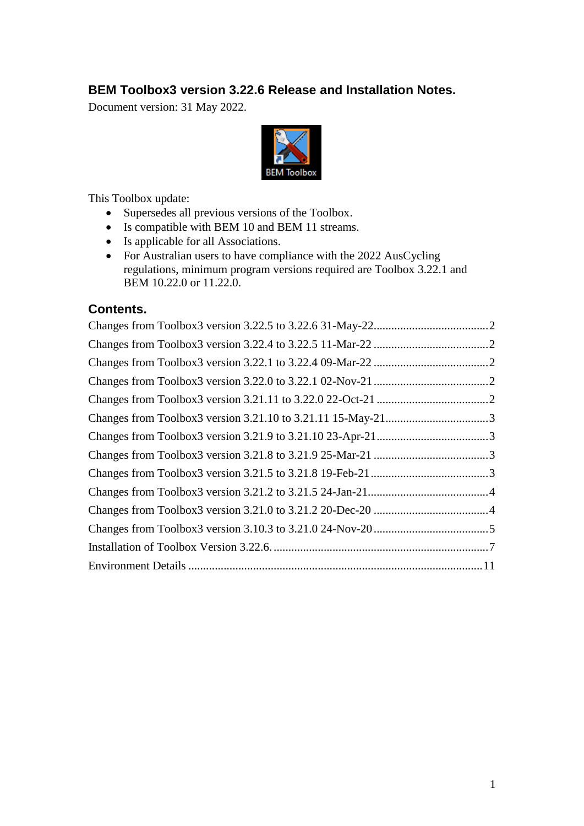### **BEM Toolbox3 version 3.22.6 Release and Installation Notes.**

Document version: 31 May 2022.



This Toolbox update:

- Supersedes all previous versions of the Toolbox.
- Is compatible with BEM 10 and BEM 11 streams.
- Is applicable for all Associations.
- For Australian users to have compliance with the 2022 AusCycling regulations, minimum program versions required are Toolbox 3.22.1 and BEM 10.22.0 or 11.22.0.

### **Contents.**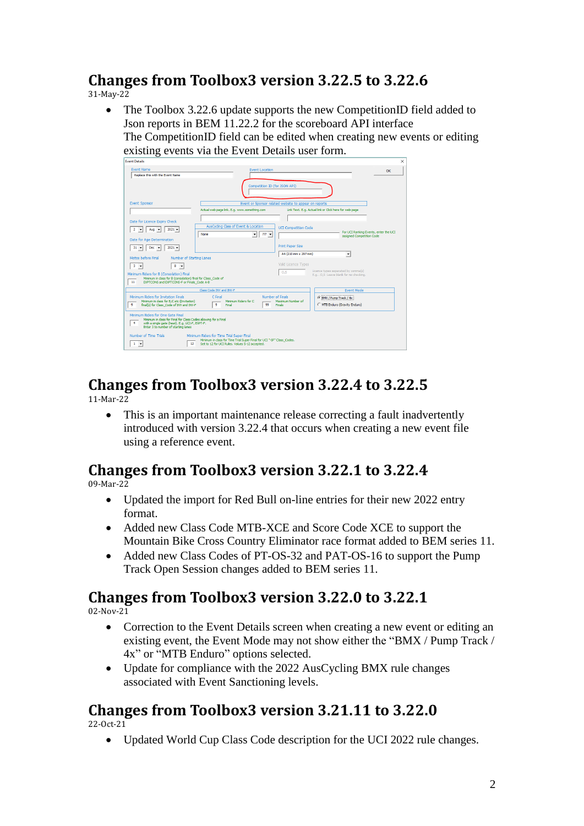## <span id="page-1-0"></span>**Changes from Toolbox3 version 3.22.5 to 3.22.6**

31-May-22

• The Toolbox 3.22.6 update supports the new CompetitionID field added to Json reports in BEM 11.22.2 for the scoreboard API interface The CompetitionID field can be edited when creating new events or editing existing events via the Event Details user form.

| <b>Event Details</b>                                                                                                                                                                                        |                                                                                                                                                                       |                                                         | $\times$                                                                      |
|-------------------------------------------------------------------------------------------------------------------------------------------------------------------------------------------------------------|-----------------------------------------------------------------------------------------------------------------------------------------------------------------------|---------------------------------------------------------|-------------------------------------------------------------------------------|
| <b>Event Name</b><br>Renlace this with the Event Name                                                                                                                                                       | <b>Event Location</b>                                                                                                                                                 |                                                         | OK                                                                            |
|                                                                                                                                                                                                             | Competition ID (for JSON API)                                                                                                                                         |                                                         |                                                                               |
| <b>Event Sponsor</b>                                                                                                                                                                                        |                                                                                                                                                                       | Event or Sponsor related website to appear on reports   |                                                                               |
|                                                                                                                                                                                                             | Actual web page link. E.g. www.something.com                                                                                                                          | Link Text. E.g. Actual link or Click here for web page. |                                                                               |
| Date for Licence Expiry Check                                                                                                                                                                               |                                                                                                                                                                       |                                                         |                                                                               |
| $2021 -$<br>Aug $\vert \mathbf{v} \vert$<br>$\mathbf{2}$<br>$\vert \mathbf{v} \vert$                                                                                                                        | AusCycling Class of Event & Location<br>$222 -$<br>None<br>$\mathbf{r}$                                                                                               | <b>UCI Competition Code</b>                             | For UCI Ranking Events, enter the UCI<br>assigned Competition Code            |
| Date for Age Determination                                                                                                                                                                                  |                                                                                                                                                                       |                                                         |                                                                               |
| $Dec$ $\rightarrow$<br>$2021 -$<br>$31 -$                                                                                                                                                                   |                                                                                                                                                                       | <b>Print Paper Size</b>                                 |                                                                               |
| Motos before Final<br>Number of Starting Lanes                                                                                                                                                              |                                                                                                                                                                       | A4 (210 mm x 297 mm)                                    | ۰                                                                             |
| $8 - $<br>$3 -$                                                                                                                                                                                             |                                                                                                                                                                       | Valid Licence Types                                     |                                                                               |
| Minimum Riders for B (Consolation) Final<br>Minimum in class for B (consolation) final for Class Code of<br>11<br>EXPTCONS and EXPTCONS-F or Finals Code A-B                                                |                                                                                                                                                                       | O.S                                                     | Licence types separated by comma(s)<br>E.g., O.S Leave blank for no checking. |
|                                                                                                                                                                                                             | Class Code INV and INV-F                                                                                                                                              |                                                         | <b>Event Mode</b>                                                             |
| Minimum Riders for Invitation Finals<br>Minimum in class for B.C etc (Invitation)                                                                                                                           | C Final<br>Minimum Riders for C.                                                                                                                                      | Number of Finals<br>Maximum Number of                   | C BMX / Pump Track / 4x                                                       |
| 9<br>final(s) for Class Code of INV and INV-F                                                                                                                                                               | 9<br>99<br>Final                                                                                                                                                      | Finals                                                  | C MTB Enduro (Gravity Enduro)                                                 |
| Minimum Riders for One Gate Final<br>Minimum in class for Final for Class Codes allowing for a Final<br>$\ddot{ }$<br>with a single gate (heat). E.g. UCI-F, EXPT-F.<br>Enter 3 to number of starting lanes |                                                                                                                                                                       |                                                         |                                                                               |
| Number of Time Trials<br>12<br>$1 -$                                                                                                                                                                        | Minimum Riders for Time Trial Super Final<br>Minimum in class for Time Trial Super Final for UCI "-SF" Class Codes.<br>Set to 12 for UCI Rules, Values 5-12 accepted. |                                                         |                                                                               |

## <span id="page-1-1"></span>**Changes from Toolbox3 version 3.22.4 to 3.22.5**

11-Mar-22

• This is an important maintenance release correcting a fault inadvertently introduced with version 3.22.4 that occurs when creating a new event file using a reference event.

## <span id="page-1-2"></span>**Changes from Toolbox3 version 3.22.1 to 3.22.4**

09-Mar-22

- Updated the import for Red Bull on-line entries for their new 2022 entry format.
- Added new Class Code MTB-XCE and Score Code XCE to support the Mountain Bike Cross Country Eliminator race format added to BEM series 11.
- Added new Class Codes of PT-OS-32 and PAT-OS-16 to support the Pump Track Open Session changes added to BEM series 11.

### <span id="page-1-3"></span>**Changes from Toolbox3 version 3.22.0 to 3.22.1**

02-Nov-21

- Correction to the Event Details screen when creating a new event or editing an existing event, the Event Mode may not show either the "BMX / Pump Track / 4x" or "MTB Enduro" options selected.
- Update for compliance with the 2022 AusCycling BMX rule changes associated with Event Sanctioning levels.

## <span id="page-1-4"></span>**Changes from Toolbox3 version 3.21.11 to 3.22.0**

22-Oct-21

• Updated World Cup Class Code description for the UCI 2022 rule changes.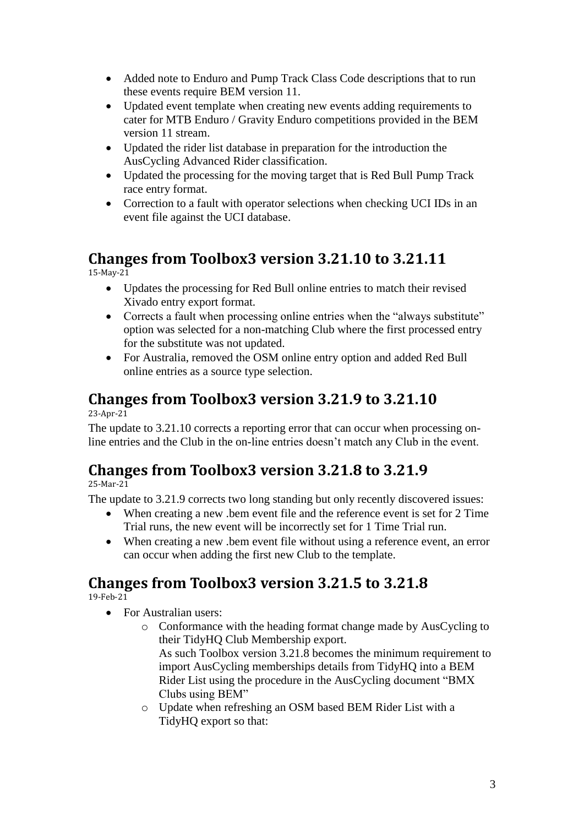- Added note to Enduro and Pump Track Class Code descriptions that to run these events require BEM version 11.
- Updated event template when creating new events adding requirements to cater for MTB Enduro / Gravity Enduro competitions provided in the BEM version 11 stream.
- Updated the rider list database in preparation for the introduction the AusCycling Advanced Rider classification.
- Updated the processing for the moving target that is Red Bull Pump Track race entry format.
- Correction to a fault with operator selections when checking UCI IDs in an event file against the UCI database.

# <span id="page-2-0"></span>**Changes from Toolbox3 version 3.21.10 to 3.21.11**

15-May-21

- Updates the processing for Red Bull online entries to match their revised Xivado entry export format.
- Corrects a fault when processing online entries when the "always substitute" option was selected for a non-matching Club where the first processed entry for the substitute was not updated.
- For Australia, removed the OSM online entry option and added Red Bull online entries as a source type selection.

## <span id="page-2-1"></span>**Changes from Toolbox3 version 3.21.9 to 3.21.10**

23-Apr-21

The update to 3.21.10 corrects a reporting error that can occur when processing online entries and the Club in the on-line entries doesn't match any Club in the event.

## <span id="page-2-2"></span>**Changes from Toolbox3 version 3.21.8 to 3.21.9**

25-Mar-21

The update to 3.21.9 corrects two long standing but only recently discovered issues:

- When creating a new .bem event file and the reference event is set for 2 Time Trial runs, the new event will be incorrectly set for 1 Time Trial run.
- When creating a new .bem event file without using a reference event, an error can occur when adding the first new Club to the template.

## <span id="page-2-3"></span>**Changes from Toolbox3 version 3.21.5 to 3.21.8**

19-Feb-21

- For Australian users:
	- o Conformance with the heading format change made by AusCycling to their TidyHQ Club Membership export.

As such Toolbox version 3.21.8 becomes the minimum requirement to import AusCycling memberships details from TidyHQ into a BEM Rider List using the procedure in the AusCycling document "BMX Clubs using BEM"

o Update when refreshing an OSM based BEM Rider List with a TidyHQ export so that: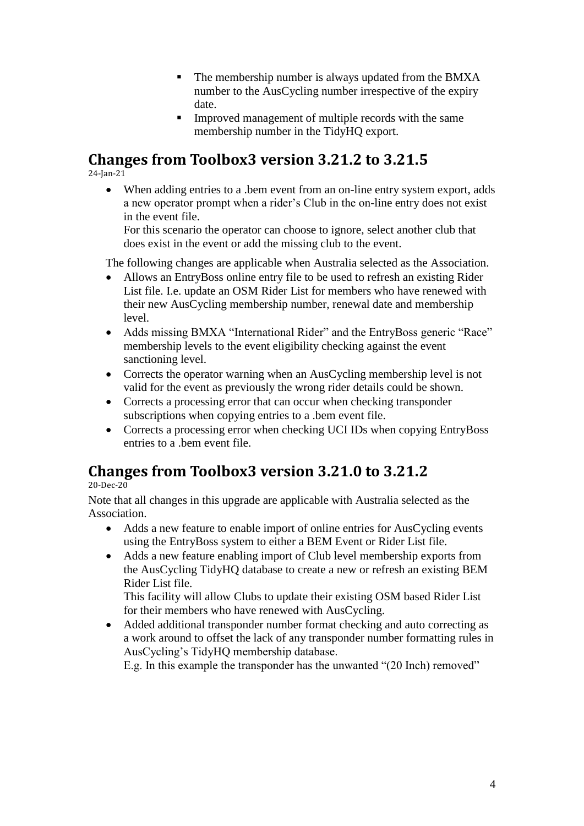- The membership number is always updated from the BMXA number to the AusCycling number irrespective of the expiry date.
- **IMPROVED management of multiple records with the same** membership number in the TidyHQ export.

### <span id="page-3-0"></span>**Changes from Toolbox3 version 3.21.2 to 3.21.5**

24-Jan-21

• When adding entries to a .bem event from an on-line entry system export, adds a new operator prompt when a rider's Club in the on-line entry does not exist in the event file.

For this scenario the operator can choose to ignore, select another club that does exist in the event or add the missing club to the event.

The following changes are applicable when Australia selected as the Association.

- Allows an EntryBoss online entry file to be used to refresh an existing Rider List file. I.e. update an OSM Rider List for members who have renewed with their new AusCycling membership number, renewal date and membership level.
- Adds missing BMXA "International Rider" and the EntryBoss generic "Race" membership levels to the event eligibility checking against the event sanctioning level.
- Corrects the operator warning when an AusCycling membership level is not valid for the event as previously the wrong rider details could be shown.
- Corrects a processing error that can occur when checking transponder subscriptions when copying entries to a .bem event file.
- Corrects a processing error when checking UCI IDs when copying EntryBoss entries to a .bem event file.

## <span id="page-3-1"></span>**Changes from Toolbox3 version 3.21.0 to 3.21.2**

20-Dec-20

Note that all changes in this upgrade are applicable with Australia selected as the Association.

- Adds a new feature to enable import of online entries for AusCycling events using the EntryBoss system to either a BEM Event or Rider List file.
- Adds a new feature enabling import of Club level membership exports from the AusCycling TidyHQ database to create a new or refresh an existing BEM Rider List file.

This facility will allow Clubs to update their existing OSM based Rider List for their members who have renewed with AusCycling.

 Added additional transponder number format checking and auto correcting as a work around to offset the lack of any transponder number formatting rules in AusCycling's TidyHQ membership database.

E.g. In this example the transponder has the unwanted "(20 Inch) removed"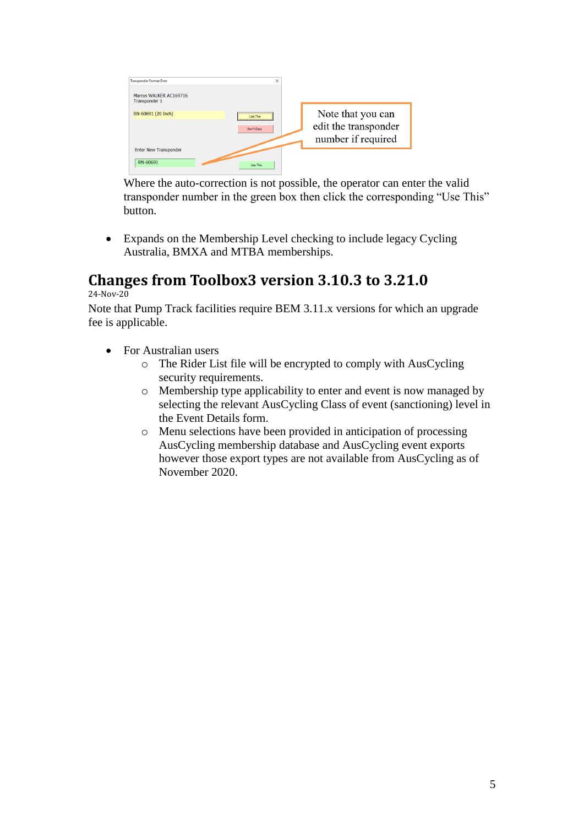

Where the auto-correction is not possible, the operator can enter the valid transponder number in the green box then click the corresponding "Use This" button.

 Expands on the Membership Level checking to include legacy Cycling Australia, BMXA and MTBA memberships.

## <span id="page-4-0"></span>**Changes from Toolbox3 version 3.10.3 to 3.21.0**

24-Nov-20

Note that Pump Track facilities require BEM 3.11.x versions for which an upgrade fee is applicable.

- For Australian users
	- o The Rider List file will be encrypted to comply with AusCycling security requirements.
	- o Membership type applicability to enter and event is now managed by selecting the relevant AusCycling Class of event (sanctioning) level in the Event Details form.
	- o Menu selections have been provided in anticipation of processing AusCycling membership database and AusCycling event exports however those export types are not available from AusCycling as of November 2020.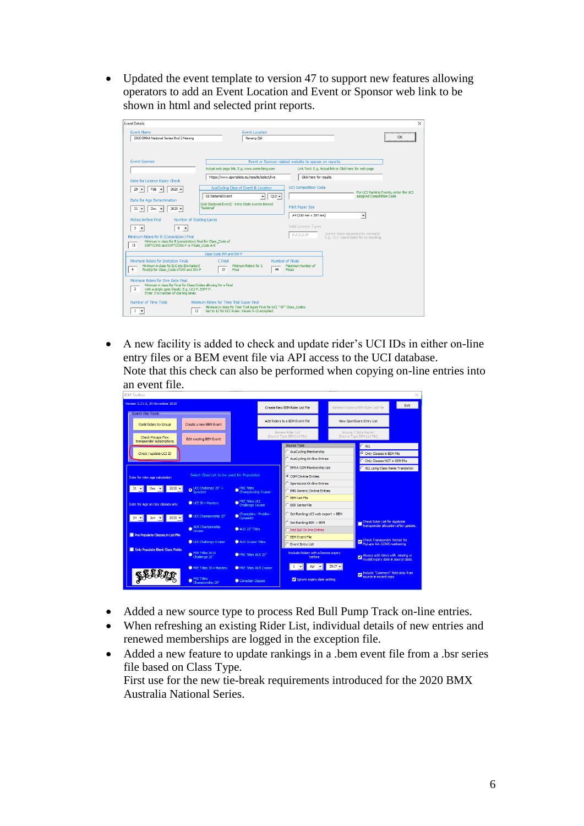• Updated the event template to version 47 to support new features allowing operators to add an Event Location and Event or Sponsor web link to be shown in html and selected print reports.



 A new facility is added to check and update rider's UCI IDs in either on-line entry files or a BEM event file via API access to the UCI database. Note that this check can also be performed when copying on-line entries into an event file.



- Added a new source type to process Red Bull Pump Track on-line entries.
- When refreshing an existing Rider List, individual details of new entries and renewed memberships are logged in the exception file.
- Added a new feature to update rankings in a .bem event file from a .bsr series file based on Class Type. First use for the new tie-break requirements introduced for the 2020 BMX Australia National Series.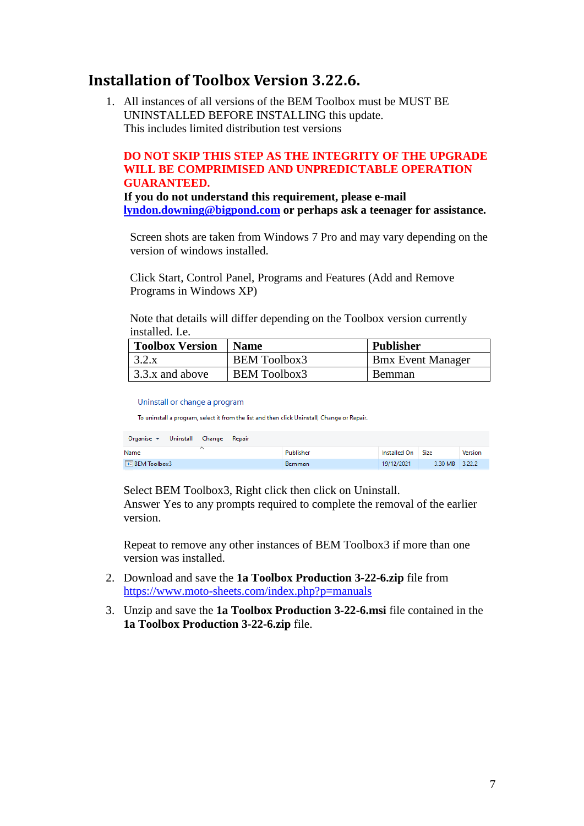### <span id="page-6-0"></span>**Installation of Toolbox Version 3.22.6.**

1. All instances of all versions of the BEM Toolbox must be MUST BE UNINSTALLED BEFORE INSTALLING this update. This includes limited distribution test versions

#### **DO NOT SKIP THIS STEP AS THE INTEGRITY OF THE UPGRADE WILL BE COMPRIMISED AND UNPREDICTABLE OPERATION GUARANTEED.**

**If you do not understand this requirement, please e-mail [lyndon.downing@bigpond.com](mailto:lyndon.downing@bigpond.com) or perhaps ask a teenager for assistance.**

Screen shots are taken from Windows 7 Pro and may vary depending on the version of windows installed.

Click Start, Control Panel, Programs and Features (Add and Remove Programs in Windows XP)

Note that details will differ depending on the Toolbox version currently installed. Le

| <b>Toolbox Version</b> | <b>Name</b>         | <b>Publisher</b>         |
|------------------------|---------------------|--------------------------|
| 3.2.x                  | <b>BEM Toolbox3</b> | <b>Bmx Event Manager</b> |
| 3.3.x and above        | BEM Toolbox3        | <b>Bemman</b>            |

Uninstall or change a program

To uninstall a program, select it from the list and then click Uninstall, Change or Repair.

| Uninstall Change<br>Organise $\blacktriangledown$<br>Repair |               |                   |                |                |
|-------------------------------------------------------------|---------------|-------------------|----------------|----------------|
| Name                                                        | Publisher     | Installed On Size |                | <b>Version</b> |
| $E = BEM$ Toolbox3                                          | <b>Bemman</b> | 19/12/2021        | 3.30 MB 3.22.2 |                |

Select BEM Toolbox3, Right click then click on Uninstall.

Answer Yes to any prompts required to complete the removal of the earlier version.

Repeat to remove any other instances of BEM Toolbox3 if more than one version was installed.

- 2. Download and save the **1a Toolbox Production 3-22-6.zip** file from <https://www.moto-sheets.com/index.php?p=manuals>
- 3. Unzip and save the **1a Toolbox Production 3-22-6.msi** file contained in the **1a Toolbox Production 3-22-6.zip** file.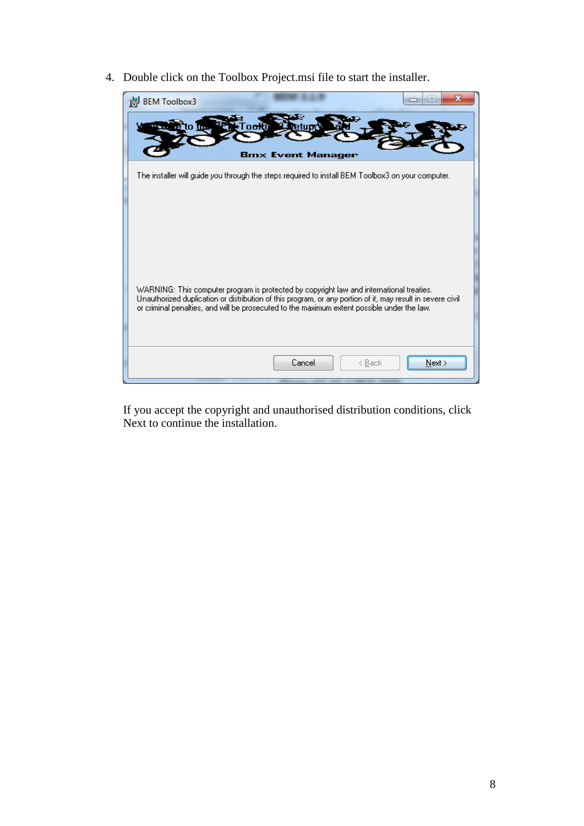4. Double click on the Toolbox Project.msi file to start the installer.

| ж<br><b>BEM Toolbox3</b>                                                                                                                                                                                                                                                                              |
|-------------------------------------------------------------------------------------------------------------------------------------------------------------------------------------------------------------------------------------------------------------------------------------------------------|
| to in<br>l oo koj<br><b>Bmx Event Manager</b>                                                                                                                                                                                                                                                         |
| The installer will guide you through the steps required to install BEM Toolbox3 on your computer.                                                                                                                                                                                                     |
| WARNING: This computer program is protected by copyright law and international treaties.<br>Unauthorized duplication or distribution of this program, or any portion of it, may result in severe civil<br>or criminal penalties, and will be prosecuted to the maximum extent possible under the law. |
| Cancel<br>< <u>B</u> ack<br>Next                                                                                                                                                                                                                                                                      |

If you accept the copyright and unauthorised distribution conditions, click Next to continue the installation.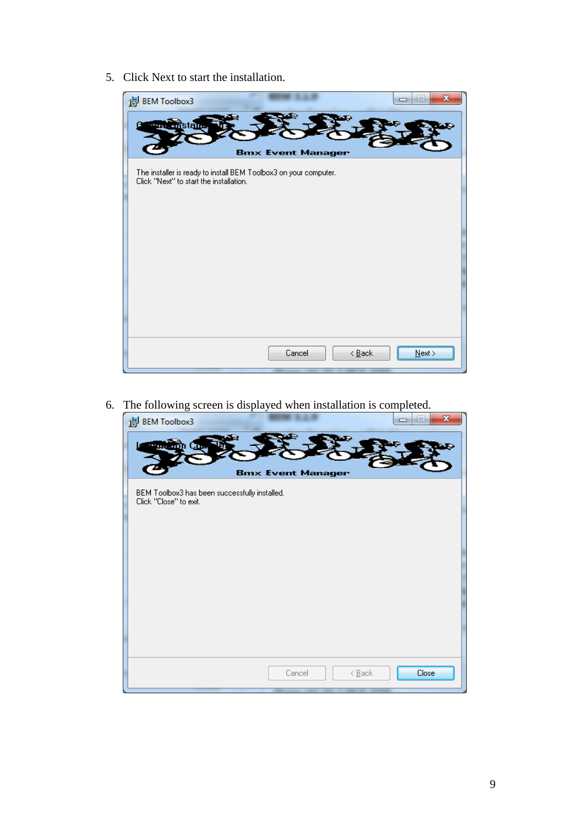5. Click Next to start the installation.

| is BEM Toolbox3                                                                                             | X<br>$\equiv$            |
|-------------------------------------------------------------------------------------------------------------|--------------------------|
| ma                                                                                                          |                          |
| <b>Bmx Event Manager</b>                                                                                    |                          |
| The installer is ready to install BEM Toolbox3 on your computer.<br>Click "Next" to start the installation. |                          |
|                                                                                                             |                          |
|                                                                                                             |                          |
|                                                                                                             |                          |
|                                                                                                             |                          |
|                                                                                                             |                          |
|                                                                                                             |                          |
|                                                                                                             |                          |
| Cancel                                                                                                      | $\leq$ Back<br>$N$ ext > |

6. The following screen is displayed when installation is completed.

| $\mathbf{x}$<br>$=$<br>i BEM Toolbox3                                   |  |
|-------------------------------------------------------------------------|--|
| <b>Bmx Event Manager</b>                                                |  |
| BEM Toolbox3 has been successfully installed.<br>Click "Close" to exit. |  |
|                                                                         |  |
|                                                                         |  |
| Close<br>Cancel<br>$\leq$ Back                                          |  |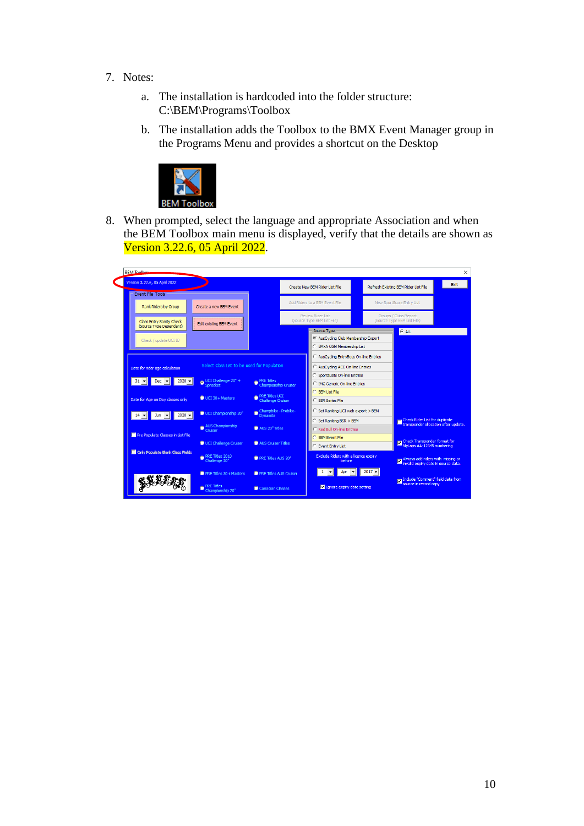- 7. Notes:
	- a. The installation is hardcoded into the folder structure: C:\BEM\Programs\Toolbox
	- b. The installation adds the Toolbox to the BMX Event Manager group in the Programs Menu and provides a shortcut on the Desktop



8. When prompted, select the language and appropriate Association and when the BEM Toolbox main menu is displayed, verify that the details are shown as Version 3.22.6, 05 April 2022.